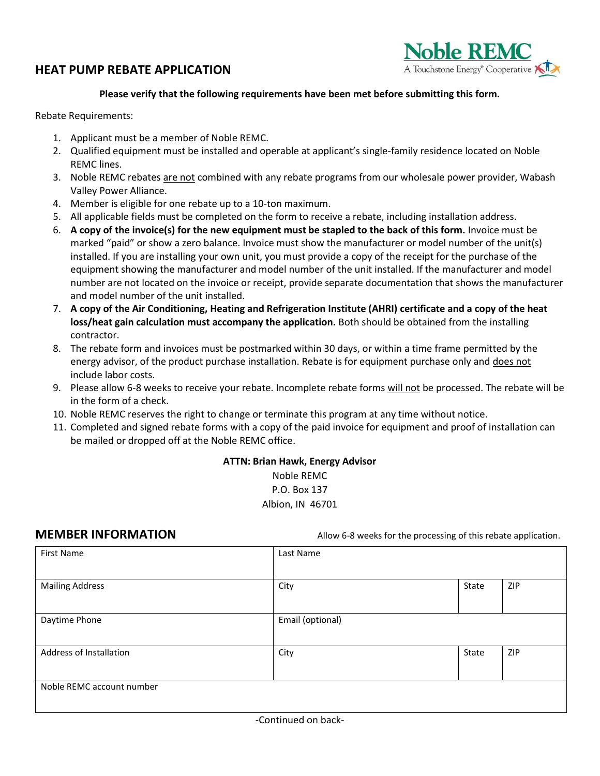## **HEAT PUMP REBATE APPLICATION**



### **Please verify that the following requirements have been met before submitting this form.**

Rebate Requirements:

- 1. Applicant must be a member of Noble REMC.
- 2. Qualified equipment must be installed and operable at applicant's single-family residence located on Noble REMC lines.
- 3. Noble REMC rebates are not combined with any rebate programs from our wholesale power provider, Wabash Valley Power Alliance.
- 4. Member is eligible for one rebate up to a 10-ton maximum.
- 5. All applicable fields must be completed on the form to receive a rebate, including installation address.
- 6. **A copy of the invoice(s) for the new equipment must be stapled to the back of this form.** Invoice must be marked "paid" or show a zero balance. Invoice must show the manufacturer or model number of the unit(s) installed. If you are installing your own unit, you must provide a copy of the receipt for the purchase of the equipment showing the manufacturer and model number of the unit installed. If the manufacturer and model number are not located on the invoice or receipt, provide separate documentation that shows the manufacturer and model number of the unit installed.
- 7. **A copy of the Air Conditioning, Heating and Refrigeration Institute (AHRI) certificate and a copy of the heat loss/heat gain calculation must accompany the application.** Both should be obtained from the installing contractor.
- 8. The rebate form and invoices must be postmarked within 30 days, or within a time frame permitted by the energy advisor, of the product purchase installation. Rebate is for equipment purchase only and does not include labor costs.
- 9. Please allow 6-8 weeks to receive your rebate. Incomplete rebate forms will not be processed. The rebate will be in the form of a check.
- 10. Noble REMC reserves the right to change or terminate this program at any time without notice.
- 11. Completed and signed rebate forms with a copy of the paid invoice for equipment and proof of installation can be mailed or dropped off at the Noble REMC office.

**ATTN: Brian Hawk, Energy Advisor** Noble REMC P.O. Box 137 Albion, IN 46701

**MEMBER INFORMATION** Allow 6-8 weeks for the processing of this rebate application.

| <b>First Name</b>         | Last Name        |       |     |  |  |  |
|---------------------------|------------------|-------|-----|--|--|--|
| <b>Mailing Address</b>    | City             | State | ZIP |  |  |  |
| Daytime Phone             | Email (optional) |       |     |  |  |  |
| Address of Installation   | City             | State | ZIP |  |  |  |
| Noble REMC account number |                  |       |     |  |  |  |